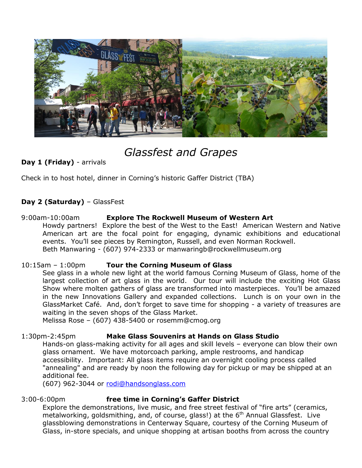

# *Glassfest and Grapes*

# **Day 1 (Friday)** - arrivals

Check in to host hotel, dinner in Corning's historic Gaffer District (TBA)

# **Day 2 (Saturday)** – GlassFest

## 9:00am-10:00am **Explore The Rockwell Museum of Western Art**

Howdy partners! Explore the best of the West to the East! American Western and Native American art are the focal point for engaging, dynamic exhibitions and educational events. You'll see pieces by Remington, Russell, and even Norman Rockwell. Beth Manwaring - (607) 974-2333 or manwaringb@rockwellmuseum.org

#### 10:15am – 1:00pm **Tour the Corning Museum of Glass**

See glass in a whole new light at the world famous Corning Museum of Glass, home of the largest collection of art glass in the world. Our tour will include the exciting Hot Glass Show where molten gathers of glass are transformed into masterpieces. You'll be amazed in the new Innovations Gallery and expanded collections. Lunch is on your own in the GlassMarket Café. And, don't forget to save time for shopping - a variety of treasures are waiting in the seven shops of the Glass Market.

Melissa Rose – (607) 438-5400 or rosemm@cmog.org

## 1:30pm-2:45pm **Make Glass Souvenirs at Hands on Glass Studio**

Hands-on glass-making activity for all ages and skill levels – everyone can blow their own glass ornament. We have motorcoach parking, ample restrooms, and handicap accessibility. Important: All glass items require an overnight cooling process called "annealing" and are ready by noon the following day for pickup or may be shipped at an additional fee.

(607) 962-3044 or [rodi@handsonglass.com](mailto:rodi@handsonglass.com)

## 3:00-6:00pm **free time in Corning's Gaffer District**

Explore the demonstrations, live music, and free street festival of "fire arts" (ceramics, metalworking, goldsmithing, and, of course, glass!) at the 6<sup>th</sup> Annual Glassfest. Live glassblowing demonstrations in Centerway Square, courtesy of the Corning Museum of Glass, in-store specials, and unique shopping at artisan booths from across the country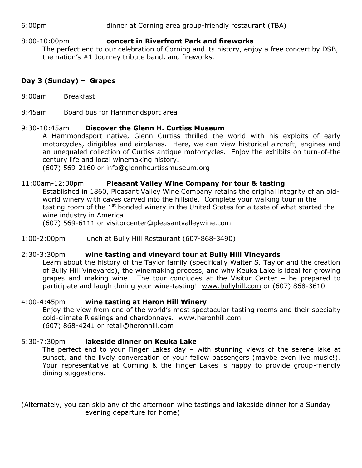6:00pm dinner at Corning area group-friendly restaurant (TBA)

8:00-10:00pm **concert in Riverfront Park and fireworks** The perfect end to our celebration of Corning and its history, enjoy a free concert by DSB, the nation's #1 Journey tribute band, and fireworks.

## **Day 3 (Sunday) – Grapes**

- 8:00am Breakfast
- 8:45am Board bus for Hammondsport area

#### 9:30-10:45am **Discover the Glenn H. Curtiss Museum**

A Hammondsport native, Glenn Curtiss thrilled the world with his exploits of early motorcycles, dirigibles and airplanes. Here, we can view historical aircraft, engines and an unequaled collection of Curtiss antique motorcycles. Enjoy the exhibits on turn-of-the century life and local winemaking history.

(607) 569-2160 or info@glennhcurtissmuseum.org

#### 11:00am-12:30pm **Pleasant Valley Wine Company for tour & tasting**

Established in 1860, Pleasant Valley Wine Company retains the original integrity of an oldworld winery with caves carved into the hillside. Complete your walking tour in the tasting room of the  $1<sup>st</sup>$  bonded winery in the United States for a taste of what started the wine industry in America.

(607) 569-6111 or visitorcenter@pleasantvalleywine.com

1:00-2:00pm lunch at Bully Hill Restaurant (607-868-3490)

#### 2:30-3:30pm **wine tasting and vineyard tour at Bully Hill Vineyards**

Learn about the history of the Taylor family (specifically Walter S. Taylor and the creation of Bully Hill Vineyards), the winemaking process, and why Keuka Lake is ideal for growing grapes and making wine. The tour concludes at the Visitor Center – be prepared to participate and laugh during your wine-tasting! [www.bullyhill.com](http://www.bullyhill.com/) or (607) 868-3610

#### 4:00-4:45pm **wine tasting at Heron Hill Winery**

Enjoy the view from one of the world's most spectacular tasting rooms and their specialty cold-climate Rieslings and chardonnays. [www.heronhill.com](http://www.heronhill.com/) (607) 868-4241 or retail@heronhill.com

#### 5:30-7:30pm **lakeside dinner on Keuka Lake**

The perfect end to your Finger Lakes day – with stunning views of the serene lake at sunset, and the lively conversation of your fellow passengers (maybe even live music!). Your representative at Corning & the Finger Lakes is happy to provide group-friendly dining suggestions.

(Alternately, you can skip any of the afternoon wine tastings and lakeside dinner for a Sunday evening departure for home)